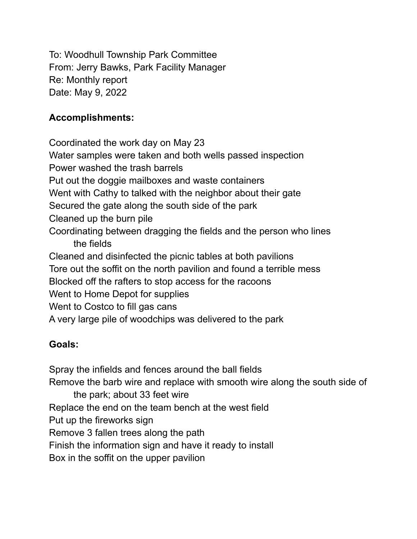To: Woodhull Township Park Committee From: Jerry Bawks, Park Facility Manager Re: Monthly report Date: May 9, 2022

## **Accomplishments:**

Coordinated the work day on May 23 Water samples were taken and both wells passed inspection Power washed the trash barrels Put out the doggie mailboxes and waste containers Went with Cathy to talked with the neighbor about their gate Secured the gate along the south side of the park Cleaned up the burn pile Coordinating between dragging the fields and the person who lines the fields Cleaned and disinfected the picnic tables at both pavilions Tore out the soffit on the north pavilion and found a terrible mess Blocked off the rafters to stop access for the racoons Went to Home Depot for supplies Went to Costco to fill gas cans A very large pile of woodchips was delivered to the park

## **Goals:**

Spray the infields and fences around the ball fields Remove the barb wire and replace with smooth wire along the south side of the park; about 33 feet wire Replace the end on the team bench at the west field Put up the fireworks sign Remove 3 fallen trees along the path Finish the information sign and have it ready to install Box in the soffit on the upper pavilion